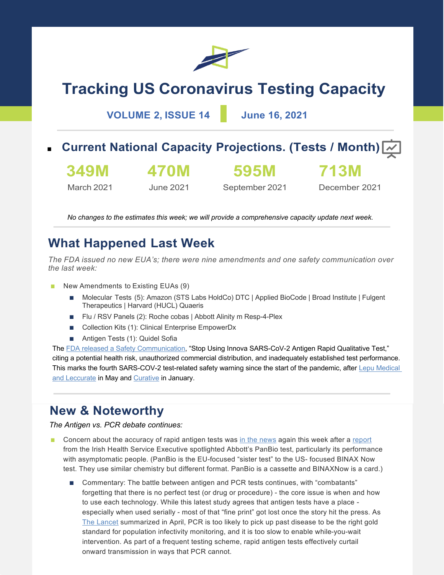

# **Tracking US Coronavirus Testing Capacity**

**VOLUME 2, ISSUE 14 June 16, 2021**

- **Current National Capacity Projections. (Tests / Month)** 
	- **349M**

March 2021

 $\overline{\phantom{a}}$ 

**470M**

June 2021

**595M** September 2021

December 2021

**713M**

*No changes to the estimates this week; we will provide a comprehensive capacity update next week.*

### **What Happened Last Week**

*The FDA issued no new EUA's; there were nine amendments and one safety communication over the last week:*

- New Amendments to Existing EUAs (9)
	- Molecular Tests (5): Amazon (STS Labs HoldCo) DTC | Applied BioCode | Broad Institute | Fulgent Therapeutics | Harvard (HUCL) Quaeris
	- Flu / RSV Panels (2): Roche cobas | Abbott Alinity m Resp-4-Plex
	- Collection Kits (1): Clinical Enterprise EmpowerDx
	- Antigen Tests (1): Quidel Sofia

The FDA released a Safety Communication, "Stop Using Innova SARS-CoV-2 Antigen Rapid Qualitative Test," citing a potential health risk, unauthorized commercial distribution, and inadequately established test performance. This marks the fourth SARS-COV-2 test-related safety warning since the start of the pandemic, after Lepu Medical and Leccurate in May and Curative in January.

### **New & Noteworthy**

*The Antigen vs. PCR debate continues:*

- Concern about the accuracy of rapid antigen tests was in the news again this week after a report from the Irish Health Service Executive spotlighted Abbott's PanBio test, particularly its performance with asymptomatic people. (PanBio is the EU-focused "sister test" to the US- focused BINAX Now test. They use similar chemistry but different format. PanBio is a cassette and BINAXNow is a card.)
	- Commentary: The battle between antigen and PCR tests continues, with "combatants" forgetting that there is no perfect test (or drug or procedure) - the core issue is when and how to use each technology. While this latest study agrees that antigen tests have a place especially when used serially - most of that "fine print" got lost once the story hit the press. As The Lancet summarized in April, PCR is too likely to pick up past disease to be the right gold standard for population infectivity monitoring, and it is too slow to enable while-you-wait intervention. As part of a frequent testing scheme, rapid antigen tests effectively curtail onward transmission in ways that PCR cannot.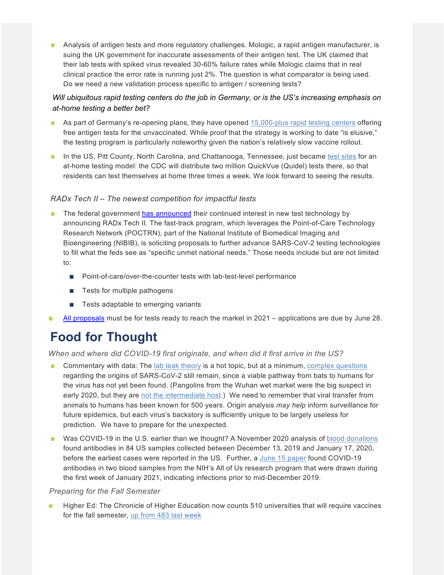■ Analysis of antigen tests and more regulatory challenges. Mologic, a rapid antigen manufacturer, is suing the UK government for inaccurate assessments of their antigen test. The UK claimed that their lab tests with spiked virus revealed 30-60% failure rates while Mologic claims that in real clinical practice the error rate is running just 2%. The question is what comparator is being used. Do we need a new validation process specific to antigen / screening tests?

### *Will ubiquitous rapid testing centers do the job in Germany, or is the US's increasing emphasis on at-home testing a better bet?*

- As part of Germany's re-opening plans, they have opened 15,000-plus rapid testing centers offering free antigen tests for the unvaccinated. While proof that the strategy is working to date "is elusive," the testing program is particularly noteworthy given the nation's relatively slow vaccine rollout.
- In the US, Pitt County, North Carolina, and Chattanooga, Tennessee, just became test sites for an at-home testing model: the CDC will distribute two million QuickVue (Quidel) tests there, so that residents can test themselves at home three times a week. We look forward to seeing the results.

#### *RADx Tech II – The newest competition for impactful tests*

- The federal government has announced their continued interest in new test technology by announcing RADx Tech II. The fast-track program, which leverages the Point-of-Care Technology Research Network (POCTRN), part of the National Institute of Biomedical Imaging and Bioengineering (NIBIB), is soliciting proposals to further advance SARS-CoV-2 testing technologies to fill what the feds see as "specific unmet national needs." Those needs include but are not limited to:
	- Point-of-care/over-the-counter tests with lab-test-level performance
	- Tests for multiple pathogens
	- Tests adaptable to emerging variants
- All proposals must be for tests ready to reach the market in  $2021 -$  applications are due by June 28.

## **Food for Thought**

*When and where did COVID-19 first originate, and when did it first arrive in the US?*

- Commentary with data: The lab leak theory is a hot topic, but at a minimum, complex questions regarding the origins of SARS-CoV-2 still remain, since a viable pathway from bats to humans for the virus has not yet been found. (Pangolins from the Wuhan wet market were the big suspect in early 2020, but they are not the intermediate host.) We need to remember that viral transfer from animals to humans has been known for 500 years. Origin analysis *may help* inform surveillance for future epidemics, but each virus's backstory is sufficiently unique to be largely useless for prediction. We have to prepare for the unexpected.
- Was COVID-19 in the U.S. earlier than we thought? A November 2020 analysis of blood donations found antibodies in 84 US samples collected between December 13, 2019 and January 17, 2020, before the earliest cases were reported in the US. Further, a June 15 paper found COVID-19 antibodies in two blood samples from the NIH's All of Us research program that were drawn during the first week of January 2021, indicating infections prior to mid-December 2019.

#### *Preparing for the Fall Semester*

Higher Ed: The Chronicle of Higher Education now counts 510 universities that will require vaccines for the fall semester, up from 483 last week